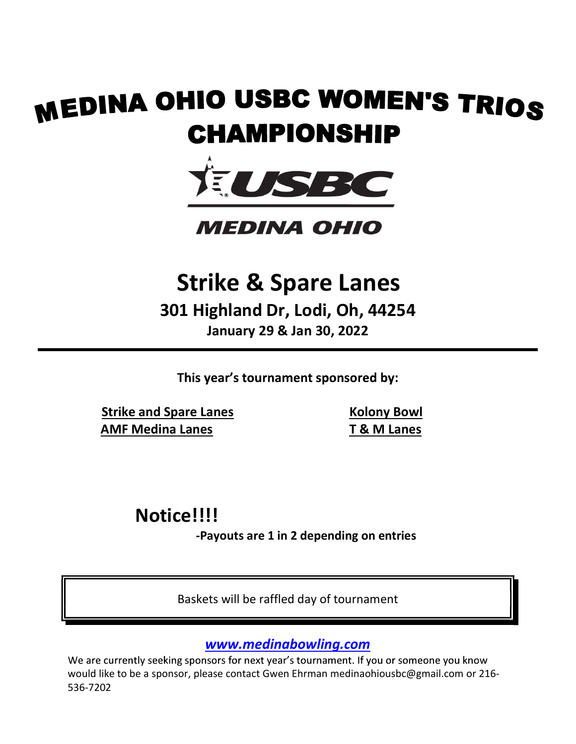# **MEDINA OHIO USBC WOMEN'S TRIOS HIO USBC WOMEN'S TRIOS<br>CHAMPIONSHIP<br>NEDINA OHIO<br>Strike & Spare Lanes<br>1 Highland Dr, Lodi, Oh, 44254<br>January 29 & Jan 30, 2022 HAMPIONSHIP<br>
FORMERTS TRIOS<br>
FORMEDINA OHIO**<br>
SIRE CONTROLLER<br>
SIRE CONTROLLER<br>
SIRE CONTROLLER<br>
IN THE SIRE CONTROLLER<br>
IN 29 & Jan 30, 2022<br>
The Six cournament sponsored by:



301 Highland Dr, Lodi, Oh, 44254 MEDINA OHIO<br>
Strike & Spare Lanes<br>
301 Highland Dr, Lodi, Oh, 44254<br>
January 29 & Jan 30, 2022<br>
This year's tournament sponsored by:<br>
Strike and Spare Lanes<br>
AMF Medina Lanes<br>
T & M Lanes 01 Highland Dr, Lodi, Oh, 44254<br>
January 29 & Jan 30, 2022<br>
This year's tournament sponsored by:<br>
<u>pare Lanes</u><br>
<u>a Lanes</u><br> **EXPLANGE ON EXPLANGE ON EXPLANGE ON EXPLANGE ON EXPLANGE ON EXPLANGE ON EXPLANGE ON EXPLANGE ON EX** 

Strike and Spare Lanes

 Kolony Bowl T & M Lanes

# Notice!!!!

www.medinabowling.com

Baskets will be raffled day of tournament World Commission and the affiled day of tournament<br>
Baskets will be raffled day of tournament<br>
We are currently seeking sponsors for next year's tournament. If you or someone you know<br>
Show would like to be a sponsor, plea 536-7202